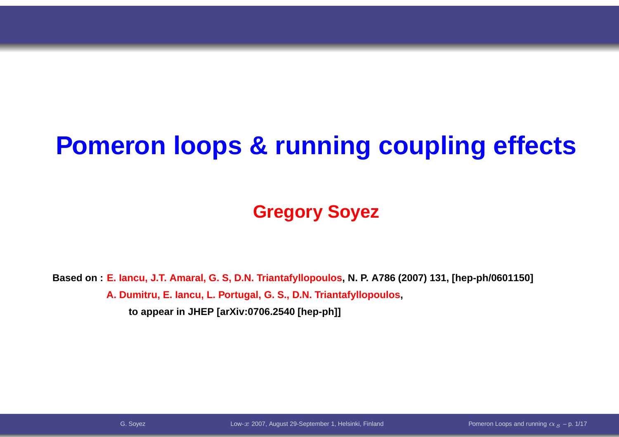# **Pomeron loops & running coupling effects**

#### **Gregory Soyez**

Based on:<mark>E. Iancu, J.T. Amaral, G. S, D.N. Triantafyllopoulos, N. P.</mark> A786 (2007) 131, [hep-ph/0601150] **A. Dumitru, E. Iancu, L. Portugal, G. S., D.N. Triantafyllopoulos,**

**to appear in JHEP [arXiv:0706.2540 [hep-ph]]**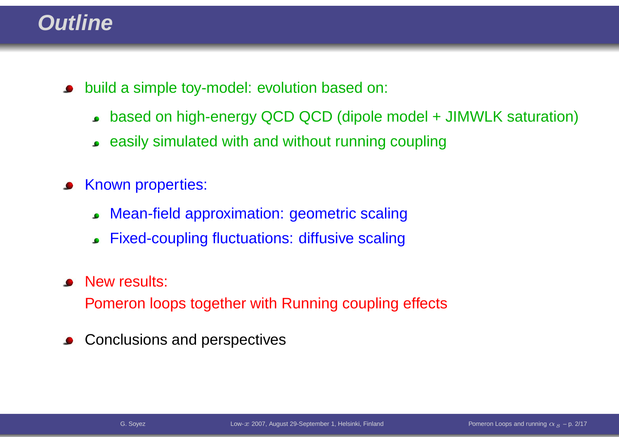#### **Outline**

- build <sup>a</sup> simple toy-model: evolution based on:
	- based on high-energy QCD QCD (dipole model <sup>+</sup> JIMWLK saturation)
	- easily simulated with and without running coupling
- Known properties:
	- Mean-field approximation: geometric scaling $\bullet$
	- Fixed-coupling fluctuations: diffusive scaling
- New results:

Pomeron loops together with Running coupling effects

Conclusions and perspectives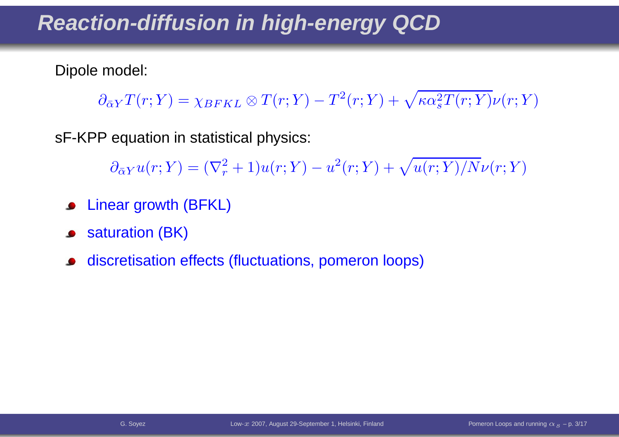#### **Reaction-diffusion in high-energy QCD**

Dipole model:

 $\partial_{\bar{\alpha}Y}T(r;Y)=\chi_{BFKL}\otimes T(r;Y)$  $\,^2$  $^{2}(r;Y)+\sqrt{\kappa \alpha _{s}^{2}}$  ${}_s^2T(r;Y)\nu(r;Y)$ 

sF-KPP equation in statistical physics:

 $\partial_{\bar{\alpha}Y}u(r;Y)=(\nabla^2_r$  $r^2+1)u(r;Y)$  $- \, u$ 2 $\sqrt[2]{r;Y}) + \sqrt{u(r;Y)/N} \nu(r;Y)$ 

- Linear growth (BFKL)
- saturation (BK) $\bullet$
- discretisation effects (fluctuations, pomeron loops)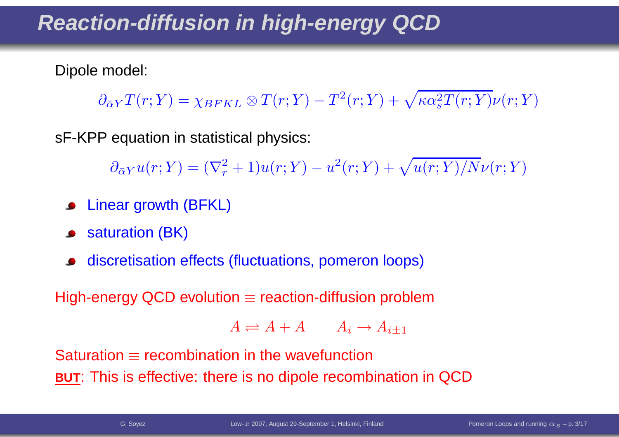#### **Reaction-diffusion in high-energy QCD**

Dipole model:

 $\partial_{\bar{\alpha}Y}T(r;Y)=\chi_{BFKL}\otimes T(r;Y)$  $\,^2$  $^{2}(r;Y)+\sqrt{\kappa \alpha _{s}^{2}}$  ${}_s^2T(r;Y)\nu(r;Y)$ 

sF-KPP equation in statistical physics:

 $\partial_{\bar{\alpha}Y}u(r;Y)=(\nabla^2_r$  $r^2+1)u(r;Y)$  $- \, u$ 2 $\sqrt[2]{r;Y}) + \sqrt{u(r;Y)/N} \nu(r;Y)$ 

- **•** Linear growth (BFKL)
- saturation (BK)
- discretisation effects (fluctuations, pomeron loops)

High-energy QCD evolution  $\equiv$  reaction-diffusion problem

$$
A \rightleftharpoons A + A \qquad A_i \rightarrow A_{i \pm 1}
$$

Saturation ≡ recombination in the wavefunction<br>———————————————————— **BUT**: This is effective: there is no dipole recombination in QCD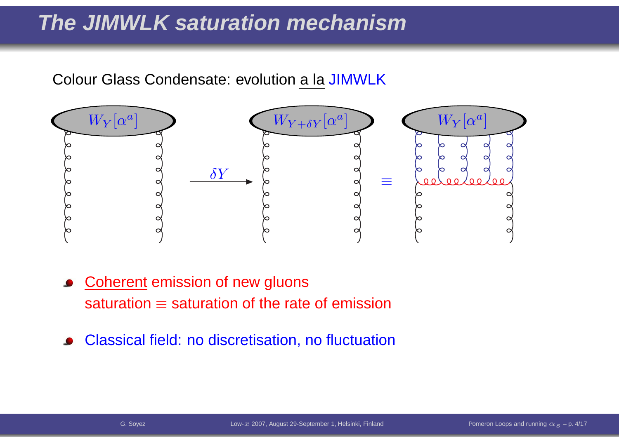#### **The JIMWLK saturation mechanism**

#### Colour Glass Condensate: evolution <u>a la</u> JIMWLK



- Coherent emission of new gluonssaturation  $\equiv$  saturation of the rate of emission
- Classical field: no discretisation, no fluctuation $\bullet$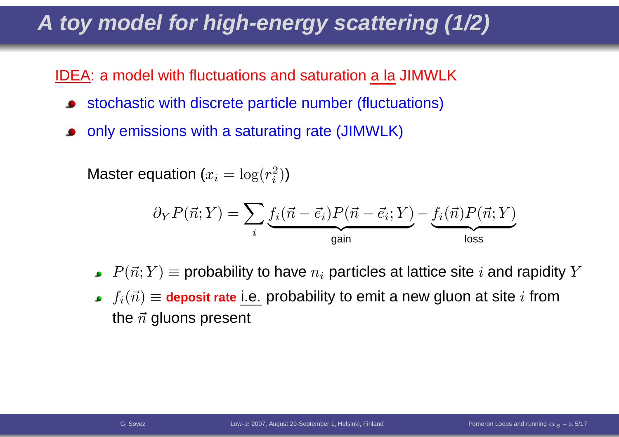## **A toy model for high-energy scattering (1/2)**

<u>IDEA</u>: a model with fluctuations and saturation <u>a la</u> JIMWLK

- stochastic with discrete particle number (fluctuations)
- only emissions with <sup>a</sup> saturating rate (JIMWLK)

Master equation ( $x_i = \log(r_i^2)$  $\binom{2}{i}$ 

$$
\partial_Y P(\vec{n}; Y) = \sum_i \underbrace{f_i(\vec{n} - \vec{e_i}) P(\vec{n} - \vec{e_i}; Y)}_{\text{gain}} - \underbrace{f_i(\vec{n}) P(\vec{n}; Y)}_{\text{loss}}
$$

- $P(\vec{n};Y)$   $\equiv$  probability to have  $n_i$  particles at lattice site  $i$  and rapidity  $Y$
- $f_i(\vec{n})\equiv$  deposit rate i.e. probability to emit a new gluon at site  $i$  from the  $\vec{n}$  gluons present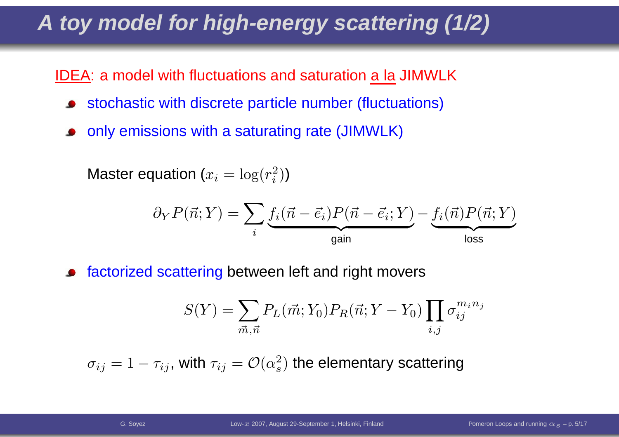## **A toy model for high-energy scattering (1/2)**

<u>IDEA</u>: a model with fluctuations and saturation <u>a la</u> JIMWLK

- stochastic with discrete particle number (fluctuations)
- only emissions with <sup>a</sup> saturating rate (JIMWLK)

Master equation ( $x_i = \log(r_i^2)$  $\binom{2}{i}$ 

$$
\partial_Y P(\vec{n}; Y) = \sum_i \underbrace{f_i(\vec{n} - \vec{e_i}) P(\vec{n} - \vec{e_i}; Y)}_{\text{gain}} - \underbrace{f_i(\vec{n}) P(\vec{n}; Y)}_{\text{loss}}
$$

factorized scattering between left and right movers

$$
S(Y) = \sum_{\vec{m},\vec{n}} P_L(\vec{m}; Y_0) P_R(\vec{n}; Y - Y_0) \prod_{i,j} \sigma_{ij}^{m_i n_j}
$$

 $\sigma_{ij} = 1$  $\tau_{ij}$ , with  $\tau_{ij}=\mathcal{O}(\alpha_s^2$  $_s^2$ ) the elementary scattering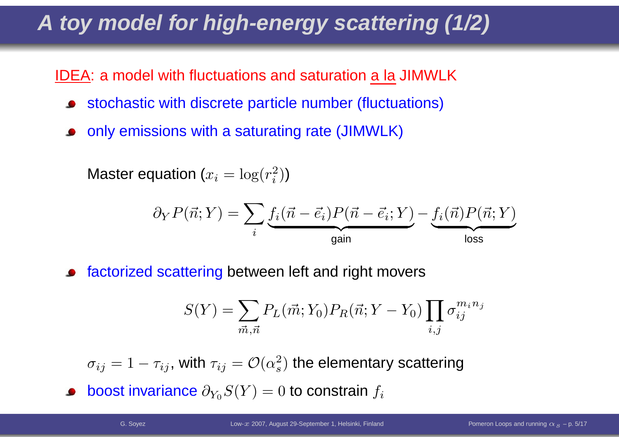## **A toy model for high-energy scattering (1/2)**

<u>IDEA</u>: a model with fluctuations and saturation <u>a la</u> JIMWLK

- stochastic with discrete particle number (fluctuations)
- only emissions with <sup>a</sup> saturating rate (JIMWLK)

Master equation ( $x_i = \log(r_i^2)$  $\binom{2}{i}$ 

$$
\partial_Y P(\vec{n}; Y) = \sum_i \underbrace{f_i(\vec{n} - \vec{e_i}) P(\vec{n} - \vec{e_i}; Y)}_{\text{gain}} - \underbrace{f_i(\vec{n}) P(\vec{n}; Y)}_{\text{loss}}
$$

factorized scattering between left and right movers

$$
S(Y) = \sum_{\vec{m}, \vec{n}} P_L(\vec{m}; Y_0) P_R(\vec{n}; Y - Y_0) \prod_{i,j} \sigma_{ij}^{m_i n_j}
$$

 $\sigma_{ij} = 1$  $\tau_{ij}$ , with  $\tau_{ij}=\mathcal{O}(\alpha_s^2$  $_s^2$ ) the elementary scattering

boost invariance  $\partial_{Y_0}S(Y)=0$  to constrain  $f_i$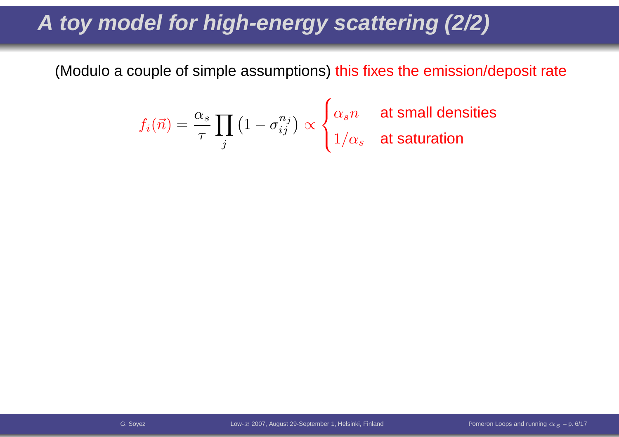### **A toy model for high-energy scattering (2/2)**

(Modulo <sup>a</sup> couple of simple assumptions) this fixes the emission/deposit rate

$$
f_i(\vec{n}) = \frac{\alpha_s}{\tau} \prod_j \left(1 - \sigma_{ij}^{n_j}\right) \propto \begin{cases} \alpha_s n & \text{at small densities} \\ 1/\alpha_s & \text{at saturation} \end{cases}
$$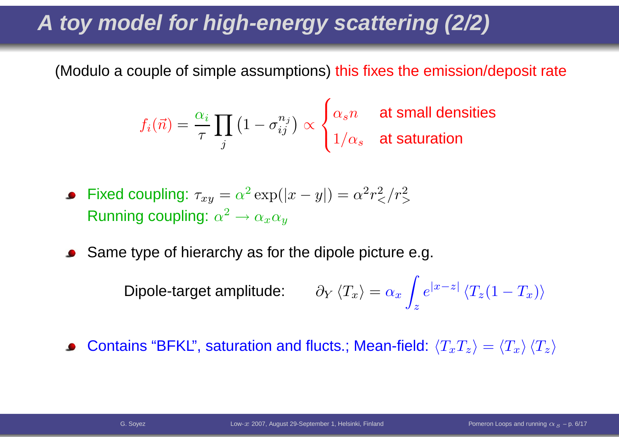### **A toy model for high-energy scattering (2/2)**

(Modulo <sup>a</sup> couple of simple assumptions) this fixes the emission/deposit rate

$$
f_i(\vec{n}) = \frac{\alpha_i}{\tau} \prod_j \left(1 - \sigma_{ij}^{n_j}\right) \propto \begin{cases} \alpha_s n & \text{at small densities} \\ 1/\alpha_s & \text{at saturation} \end{cases}
$$

- Fixed coupling:  $\tau_{xy}=\alpha^2\exp(|x|)$ Running coupling:  $\alpha^2\to\alpha_x\alpha_y$  $y|) = \alpha^2$  $^2r^2$  $\frac{2}{<} / r^2_{>}$  $>$  $\;\tilde{\;\;}\;\rightarrow \alpha_x\alpha_y$
- Same type of hierarchy as for the dipole picture e.g.

Dipole-target amplitude: ∂ $\,$  $\langle T_x$  $\Big\rangle$  $=\alpha_x$  $x \int_{z}$  $\,e\,$  $|x$  $z| \, \langle T_z(1$  $T_x$  $\big)\big\rangle$ 

Contains "BFKL", saturation and flucts.; Mean-field:  $\braket{T_x T_z} = \braket{T_x}\braket{T_z}$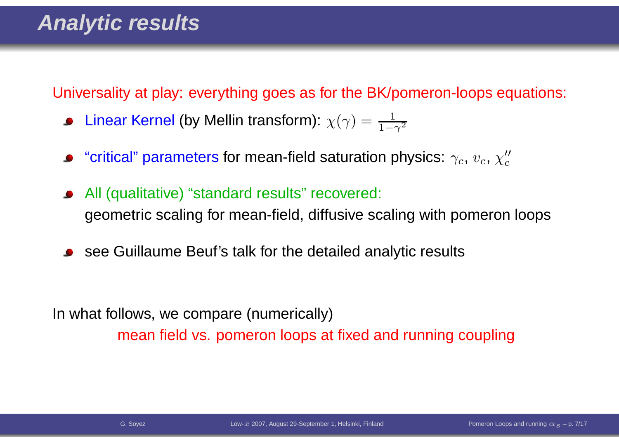Universality at play: everything goes as for the BK/pomeron-loops equations:

- Linear Kernel (by Mellin transform):  $\chi(\gamma) = \frac{1}{1 \gamma^2}$
- "critical" parameters for mean-field saturation physics:  $\gamma_c$ ,  $v_c$ ,  $\chi''_c$
- All (qualitative) "standard results" recovered: geometric scaling for mean-field, diffusive scaling with pomeron loops
- see Guillaume Beuf's talk for the detailed analytic results

In what follows, we compare (numerically)mean field vs. pomeron loops at fixed and running coupling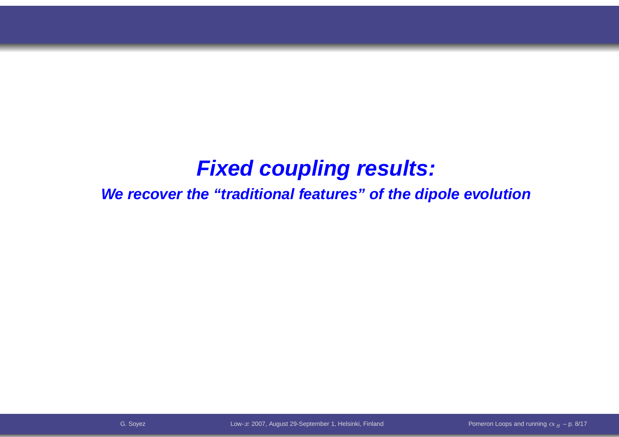#### **Fixed coupling results:**

**We recover the "traditional features" of the dipole evolution**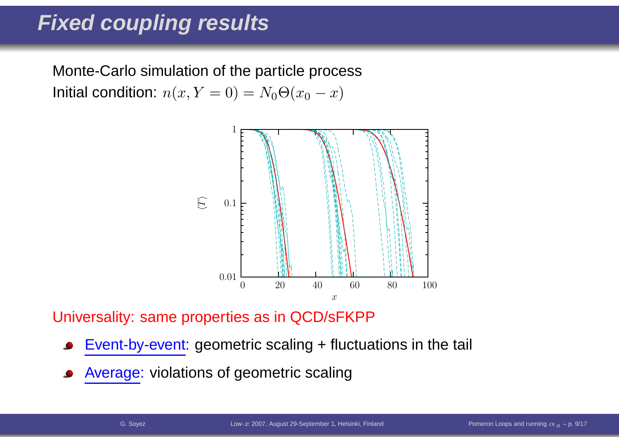#### **Fixed coupling results**

Monte-Carlo simulation of the particle processInitial condition:  $n(x, Y = 0) = N_0 \Theta(x_0 - x)$ 



Universality: same properties as in QCD/sFKPP

- Event-by-event: geometric scaling <sup>+</sup> fluctuations in the tail
- Average: violations of geometric scaling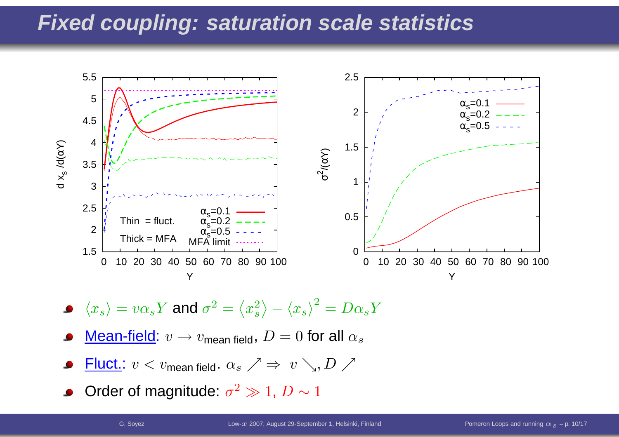#### **Fixed coupling: saturation scale statistics**



- $\langle x_s \rangle = v \alpha_s Y$  and  $\sigma^2$  $\equiv$  $\Big\langle$  $\langle x^2 \rangle$  s $\rangle - \langle x$  ${x_s}\rangle^2$  $\alpha = D\alpha$  $_s Y$
- <u>Mean-field</u>:  $v \rightarrow v$ <sub>mean field</sub>,  $D=0$  for all  $\alpha_s$
- ${\sf Fluct.}\:v < v_{\sf mean}$  field  $\cdot$   $\alpha_s$  $\mathscr{A} \Rightarrow v \searrow D \nearrow$
- Order of magnitude:  $\sigma^2 \gg 1$  $^2 \gg 1, \, D \sim 1$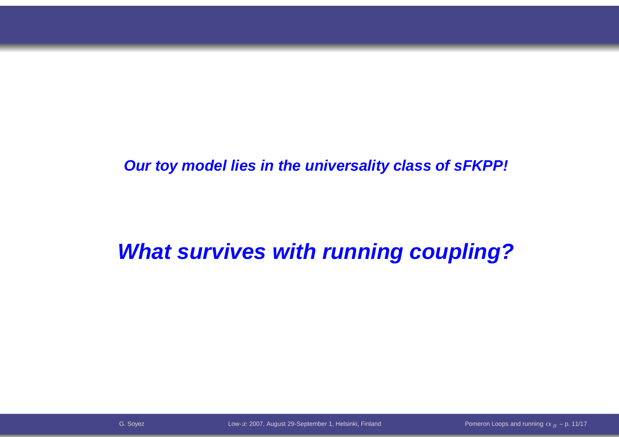**Our toy model lies in the universality class of sFKPP!**

### **What survives with running coupling?**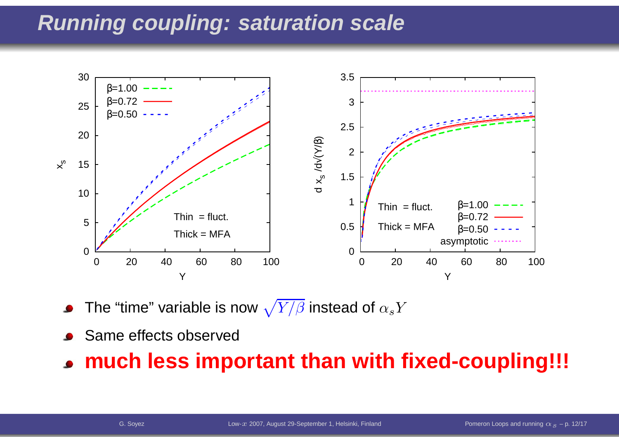#### **Running coupling: saturation scale**



The "time" variable is now  $\sqrt{Y/\beta}$  instead of  $\alpha_s Y$ 

Same effects observed

#### **much less important than with fixed-coupling!!!**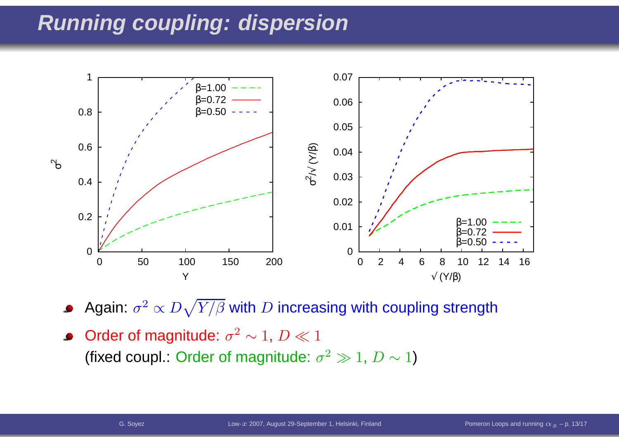#### **Running coupling: dispersion**



Again:  $\sigma^2$  $^2 \propto D \sqrt{Y / \beta}$  with  $D$  increasing with coupling strength

Order of magnitude:  $\sigma^2$  $f$  mognitus  $^2\sim 1,\, D\ll 1$ (fixed coupl.: Order of magnitude:  $\sigma^2$  $^2 \gg 1, \, D \sim 1)$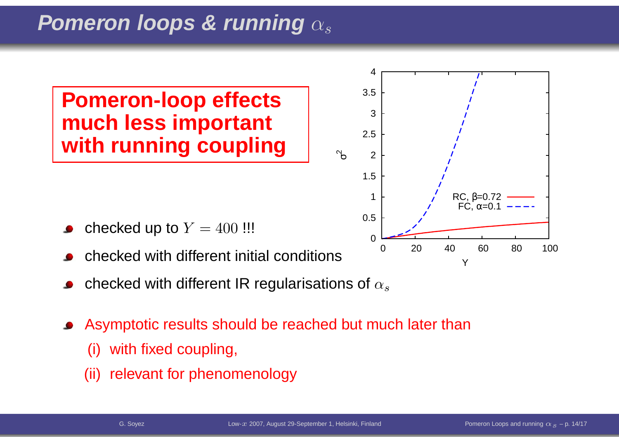#### **Pomeron loops & running** $\alpha_s$

#### **Pomeron-loop effects much less importantwith running coupling**



- checked up to  $Y=400$  !!!
- checked with different initial conditions
- checked with different IR regularisations of  $\alpha_s$
- Asymptotic results should be reached but much later than
	- (i) with fixed coupling,
	- (ii) relevant for phenomenology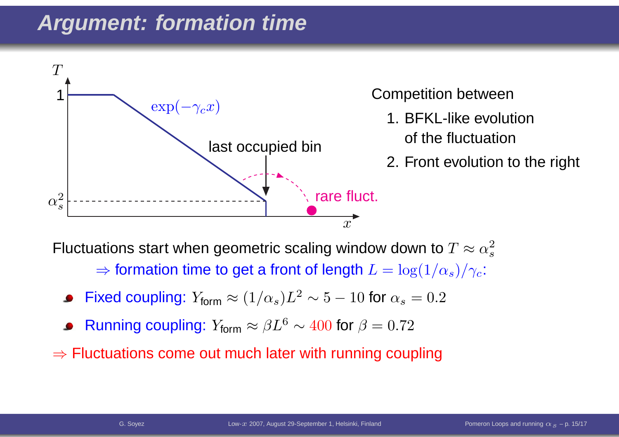#### **Argument: formation time**



Competition between 1. BFKL-like evolution

- of the fluctuation
- 2. Front evolution to the right

Fluctuations start when geometric scaling window down to  $T\approx\alpha_s^2$  $\Rightarrow$  formation time to get a front of length  $L = \log(1/\alpha_s)/\gamma_d$  s $_s)/\gamma_c$  :

- Fixed coupling:  $Y_{\mathsf{form}} \approx (1/\alpha)$  $_{s})L^{2}$  $^2\sim 5 -10$  for  $\alpha_s = 0.2$
- Running coupling:  $Y_{\mathsf{form}} \approx \beta L^6$  $\delta \sim 400$  for  $\beta = 0.72$
- $\Rightarrow$  Fluctuations come out much later with running coupling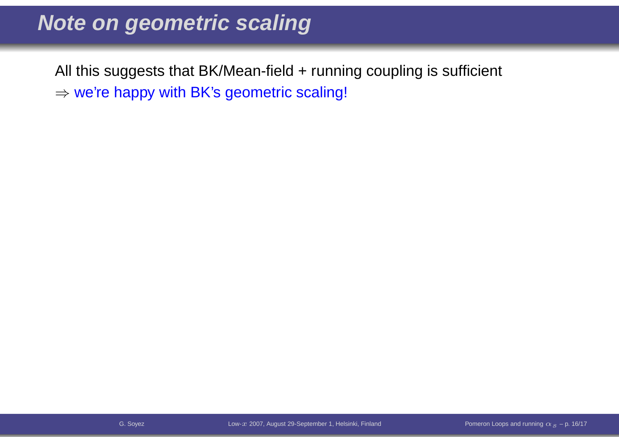#### **Note on geometric scaling**

All this suggests that BK/Mean-field + running coupling is sufficient  $\Rightarrow$  we're happy with BK's geometric scaling!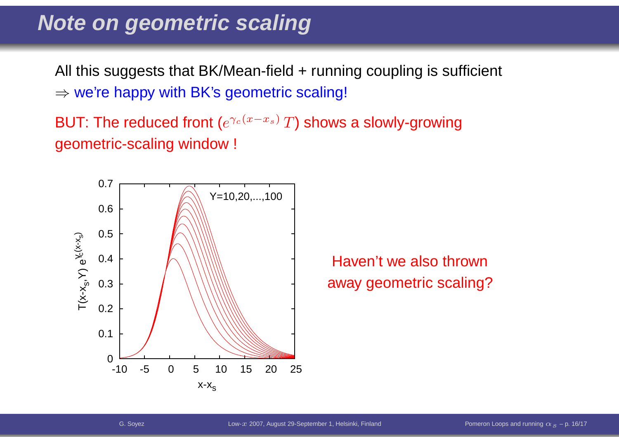#### **Note on geometric scaling**

All this suggests that BK/Mean-field + running coupling is sufficient  $\Rightarrow$  we're happy with BK's geometric scaling!

BUT: The reduced front ( $e^{\gamma_c(x)}$  $-x \$  $^{x_{s})}\,T)$  shows a slowly-growing geometric-scaling window !



Haven't we also thrown away geometric scaling?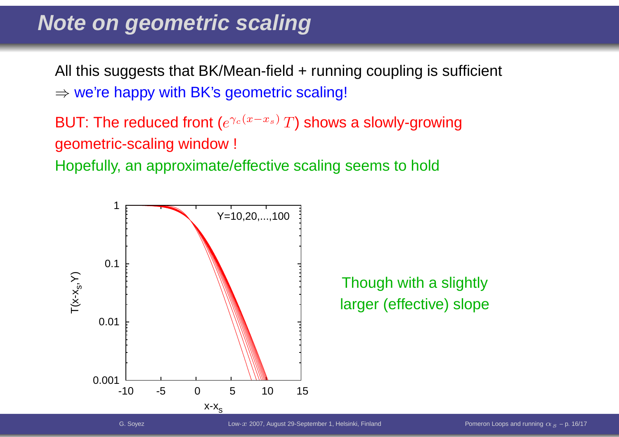#### **Note on geometric scaling**

All this suggests that BK/Mean-field + running coupling is sufficient  $\Rightarrow$  we're happy with BK's geometric scaling!

BUT: The reduced front ( $e^{\gamma_c(x)}$  $-x \$  $^{x_{s})}\,T)$  shows a slowly-growing geometric-scaling window !

Hopefully, an approximate/effective scaling seems to hold



Though with a slightly larger (effective) slope